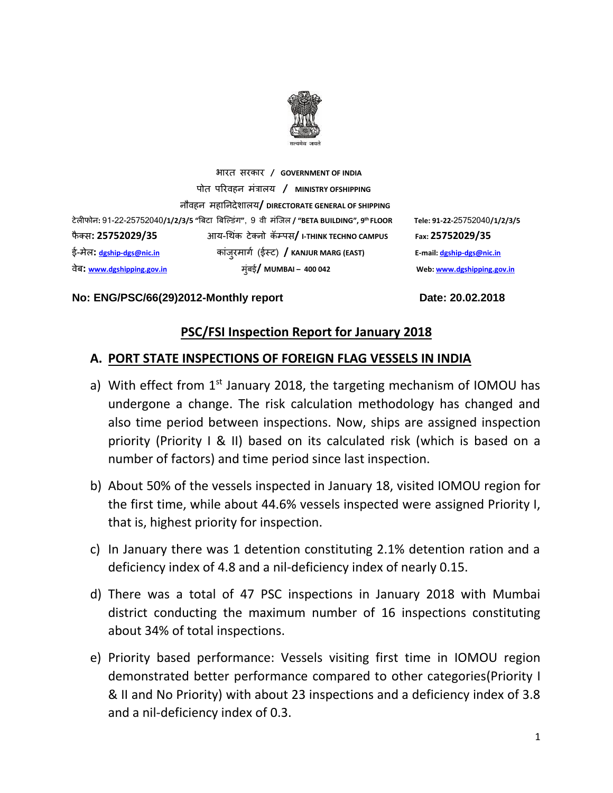

भारत सरकार **/ GOVERNMENT OF INDIA** पोत पररवहन मंत्रालय **/ MINISTRY OFSHIPPING** नौवहन महाननदेशालय**/ DIRECTORATE GENERAL OF SHIPPING** टेलीफोन**:** 91-22-25752040**/1/2/3/5 "**बिटा बिल्डंग**"**, 9 वी मंलिल **/ "BETA BUILDING", 9** फै क् स**: 25752029/35** आय-थ कं टेक्नो कॅम्पस**/ I-THINK TECHNO CAMPUS Fax: 25752029/35** ई-मेल**: [dgship-dgs@nic.in](mailto:dgship-dgs@nic.in)** कािं ुरमागग (ईस्ट) **/ KANJUR MARG (EAST) E-mail[: dgship-dgs@nic.in](mailto:dgship-dgs@nic.in)** वेि**: [www.dgshipping.gov.in](http://www.dgshipping.gov.in/)** मुंिई**/ MUMBAI – 400 042 Web[: www.dgshipping.gov.in](http://www.dgshipping.gov.in/)**

**th FLOOR Tele: 91-22-**25752040**/1/2/3/5** 

#### **No: ENG/PSC/66(29)2012-Monthly report Date: 20.02.2018**

### **PSC/FSI Inspection Report for January 2018**

### **A. PORT STATE INSPECTIONS OF FOREIGN FLAG VESSELS IN INDIA**

- a) With effect from  $1<sup>st</sup>$  January 2018, the targeting mechanism of IOMOU has undergone a change. The risk calculation methodology has changed and also time period between inspections. Now, ships are assigned inspection priority (Priority I & II) based on its calculated risk (which is based on a number of factors) and time period since last inspection.
- b) About 50% of the vessels inspected in January 18, visited IOMOU region for the first time, while about 44.6% vessels inspected were assigned Priority I, that is, highest priority for inspection.
- c) In January there was 1 detention constituting 2.1% detention ration and a deficiency index of 4.8 and a nil-deficiency index of nearly 0.15.
- d) There was a total of 47 PSC inspections in January 2018 with Mumbai district conducting the maximum number of 16 inspections constituting about 34% of total inspections.
- e) Priority based performance: Vessels visiting first time in IOMOU region demonstrated better performance compared to other categories(Priority I & II and No Priority) with about 23 inspections and a deficiency index of 3.8 and a nil-deficiency index of 0.3.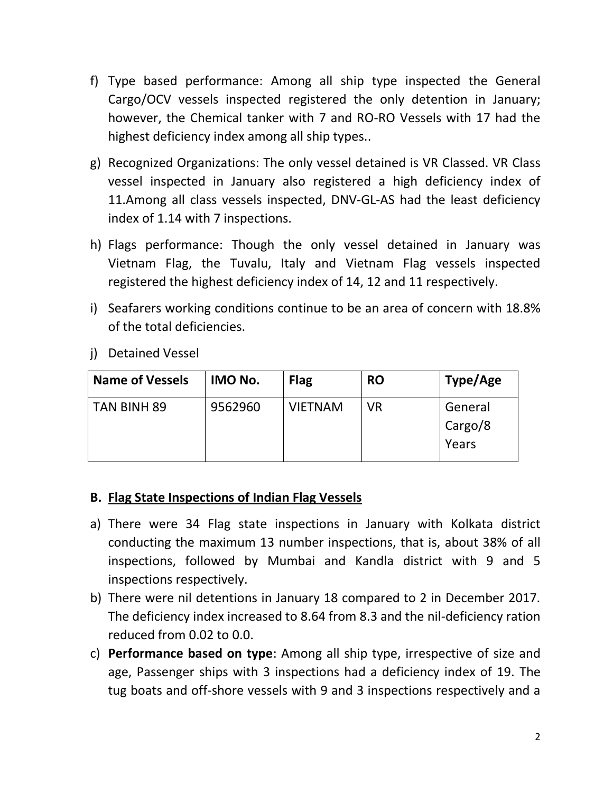- f) Type based performance: Among all ship type inspected the General Cargo/OCV vessels inspected registered the only detention in January; however, the Chemical tanker with 7 and RO-RO Vessels with 17 had the highest deficiency index among all ship types..
- g) Recognized Organizations: The only vessel detained is VR Classed. VR Class vessel inspected in January also registered a high deficiency index of 11.Among all class vessels inspected, DNV-GL-AS had the least deficiency index of 1.14 with 7 inspections.
- h) Flags performance: Though the only vessel detained in January was Vietnam Flag, the Tuvalu, Italy and Vietnam Flag vessels inspected registered the highest deficiency index of 14, 12 and 11 respectively.
- i) Seafarers working conditions continue to be an area of concern with 18.8% of the total deficiencies.
- j) Detained Vessel

| <b>Name of Vessels</b> | IMO No. | <b>Flag</b>    | <b>RO</b> | Type/Age                    |
|------------------------|---------|----------------|-----------|-----------------------------|
| TAN BINH 89            | 9562960 | <b>VIETNAM</b> | <b>VR</b> | General<br>Cargo/8<br>Years |

## **B. Flag State Inspections of Indian Flag Vessels**

- a) There were 34 Flag state inspections in January with Kolkata district conducting the maximum 13 number inspections, that is, about 38% of all inspections, followed by Mumbai and Kandla district with 9 and 5 inspections respectively.
- b) There were nil detentions in January 18 compared to 2 in December 2017. The deficiency index increased to 8.64 from 8.3 and the nil-deficiency ration reduced from 0.02 to 0.0.
- c) **Performance based on type**: Among all ship type, irrespective of size and age, Passenger ships with 3 inspections had a deficiency index of 19. The tug boats and off-shore vessels with 9 and 3 inspections respectively and a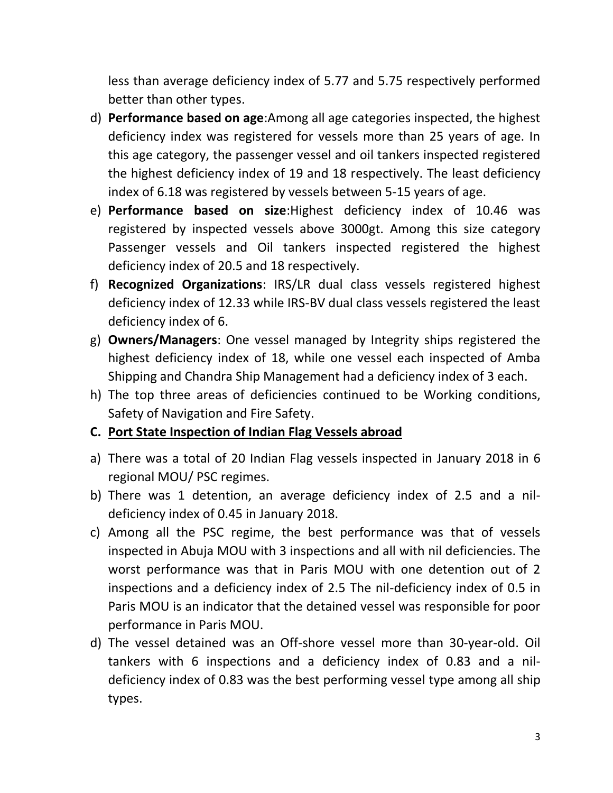less than average deficiency index of 5.77 and 5.75 respectively performed better than other types.

- d) **Performance based on age**:Among all age categories inspected, the highest deficiency index was registered for vessels more than 25 years of age. In this age category, the passenger vessel and oil tankers inspected registered the highest deficiency index of 19 and 18 respectively. The least deficiency index of 6.18 was registered by vessels between 5-15 years of age.
- e) **Performance based on size**:Highest deficiency index of 10.46 was registered by inspected vessels above 3000gt. Among this size category Passenger vessels and Oil tankers inspected registered the highest deficiency index of 20.5 and 18 respectively.
- f) **Recognized Organizations**: IRS/LR dual class vessels registered highest deficiency index of 12.33 while IRS-BV dual class vessels registered the least deficiency index of 6.
- g) **Owners/Managers**: One vessel managed by Integrity ships registered the highest deficiency index of 18, while one vessel each inspected of Amba Shipping and Chandra Ship Management had a deficiency index of 3 each.
- h) The top three areas of deficiencies continued to be Working conditions, Safety of Navigation and Fire Safety.

## **C. Port State Inspection of Indian Flag Vessels abroad**

- a) There was a total of 20 Indian Flag vessels inspected in January 2018 in 6 regional MOU/ PSC regimes.
- b) There was 1 detention, an average deficiency index of 2.5 and a nildeficiency index of 0.45 in January 2018.
- c) Among all the PSC regime, the best performance was that of vessels inspected in Abuja MOU with 3 inspections and all with nil deficiencies. The worst performance was that in Paris MOU with one detention out of 2 inspections and a deficiency index of 2.5 The nil-deficiency index of 0.5 in Paris MOU is an indicator that the detained vessel was responsible for poor performance in Paris MOU.
- d) The vessel detained was an Off-shore vessel more than 30-year-old. Oil tankers with 6 inspections and a deficiency index of 0.83 and a nildeficiency index of 0.83 was the best performing vessel type among all ship types.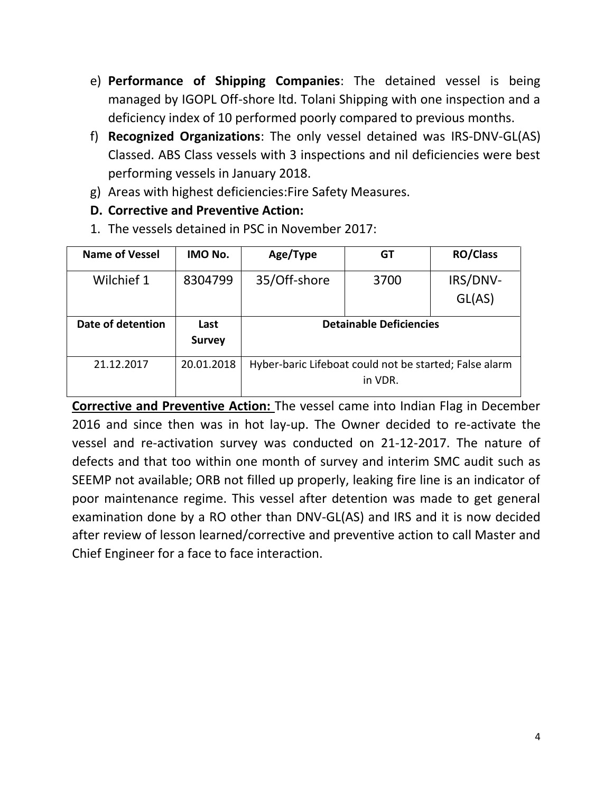- e) **Performance of Shipping Companies**: The detained vessel is being managed by IGOPL Off-shore ltd. Tolani Shipping with one inspection and a deficiency index of 10 performed poorly compared to previous months.
- f) **Recognized Organizations**: The only vessel detained was IRS-DNV-GL(AS) Classed. ABS Class vessels with 3 inspections and nil deficiencies were best performing vessels in January 2018.
- g) Areas with highest deficiencies:Fire Safety Measures.
- **D. Corrective and Preventive Action:**
- 1. The vessels detained in PSC in November 2017:

| <b>Name of Vessel</b> | IMO No.       | Age/Type                                               | GT   | <b>RO/Class</b> |  |  |
|-----------------------|---------------|--------------------------------------------------------|------|-----------------|--|--|
| Wilchief 1            | 8304799       | 35/Off-shore                                           | 3700 | IRS/DNV-        |  |  |
|                       |               |                                                        |      | GL(AS)          |  |  |
| Date of detention     | Last          | <b>Detainable Deficiencies</b>                         |      |                 |  |  |
|                       |               |                                                        |      |                 |  |  |
|                       | <b>Survey</b> |                                                        |      |                 |  |  |
| 21.12.2017            | 20.01.2018    | Hyber-baric Lifeboat could not be started; False alarm |      |                 |  |  |

**Corrective and Preventive Action:** The vessel came into Indian Flag in December 2016 and since then was in hot lay-up. The Owner decided to re-activate the vessel and re-activation survey was conducted on 21-12-2017. The nature of defects and that too within one month of survey and interim SMC audit such as SEEMP not available; ORB not filled up properly, leaking fire line is an indicator of poor maintenance regime. This vessel after detention was made to get general examination done by a RO other than DNV-GL(AS) and IRS and it is now decided after review of lesson learned/corrective and preventive action to call Master and Chief Engineer for a face to face interaction.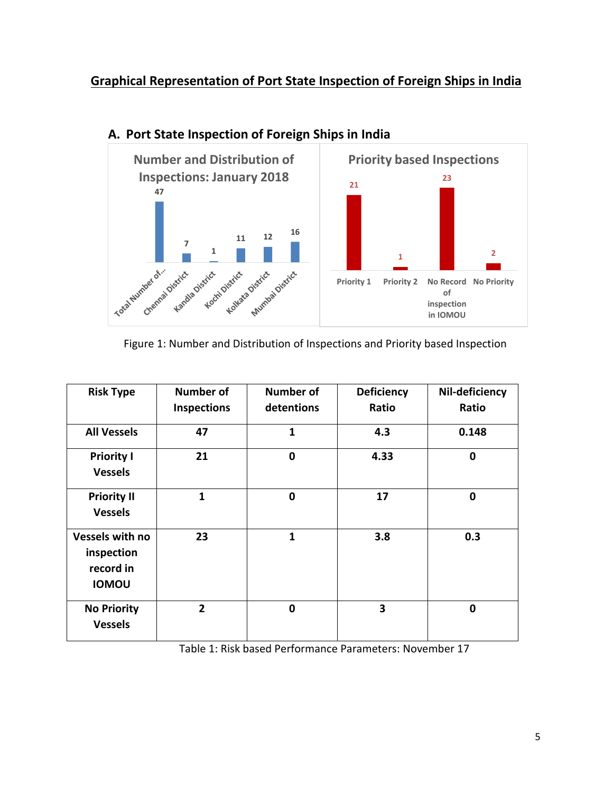## **Graphical Representation of Port State Inspection of Foreign Ships in India**



## **A. Port State Inspection of Foreign Ships in India**

Figure 1: Number and Distribution of Inspections and Priority based Inspection

| <b>Risk Type</b>                                                  | <b>Number of</b><br><b>Inspections</b> | <b>Number of</b><br>detentions | <b>Deficiency</b><br>Ratio | Nil-deficiency<br>Ratio |
|-------------------------------------------------------------------|----------------------------------------|--------------------------------|----------------------------|-------------------------|
|                                                                   |                                        |                                |                            |                         |
| <b>All Vessels</b>                                                | 47                                     | 1                              | 4.3                        | 0.148                   |
| <b>Priority I</b><br><b>Vessels</b>                               | 21                                     | 0                              | 4.33                       | $\mathbf 0$             |
| <b>Priority II</b><br><b>Vessels</b>                              | 1                                      | 0                              | 17                         | $\mathbf 0$             |
| <b>Vessels with no</b><br>inspection<br>record in<br><b>IOMOU</b> | 23                                     | 1                              | 3.8                        | 0.3                     |
| <b>No Priority</b><br><b>Vessels</b>                              | $\overline{2}$                         | 0                              | 3                          | $\mathbf 0$             |

Table 1: Risk based Performance Parameters: November 17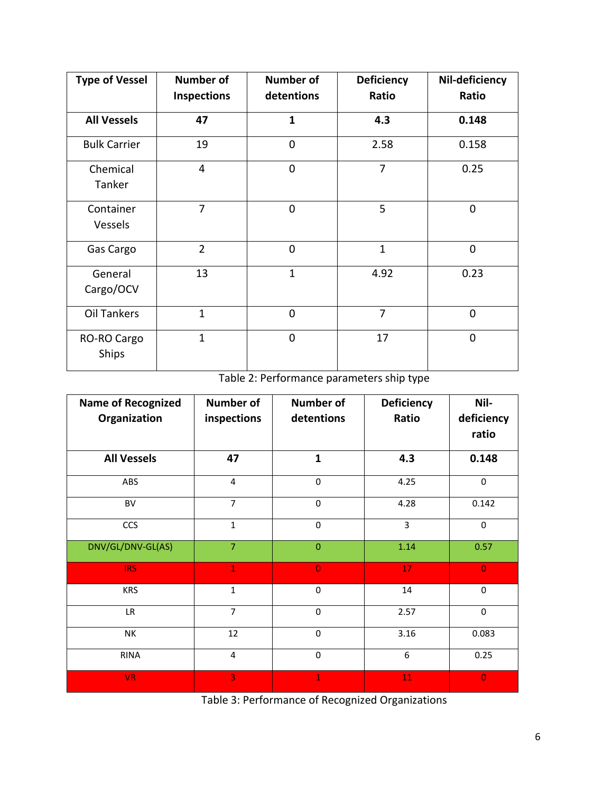| <b>Type of Vessel</b>                                  | <b>Number of</b><br><b>Inspections</b> | <b>Number of</b><br>detentions | <b>Deficiency</b><br>Ratio | Nil-deficiency<br>Ratio |
|--------------------------------------------------------|----------------------------------------|--------------------------------|----------------------------|-------------------------|
| <b>All Vessels</b>                                     | 47                                     | $\mathbf{1}$                   | 4.3                        | 0.148                   |
| <b>Bulk Carrier</b>                                    | 19                                     | $\overline{0}$                 | 2.58                       | 0.158                   |
| $\overline{0}$<br>$\overline{4}$<br>Chemical<br>Tanker |                                        |                                |                            | 0.25                    |
| Container<br>Vessels                                   | $\overline{7}$                         | $\Omega$                       | 5                          | $\overline{0}$          |
| Gas Cargo                                              | $\overline{2}$                         | $\overline{0}$                 | $\mathbf{1}$               | $\overline{0}$          |
| General<br>Cargo/OCV                                   | 13                                     | $\mathbf{1}$                   | 4.92                       | 0.23                    |
| Oil Tankers                                            | $\mathbf{1}$                           | $\Omega$                       | 7                          | $\Omega$                |
| RO-RO Cargo<br>Ships                                   | $\mathbf{1}$                           | $\Omega$                       | 17                         | $\Omega$                |

Table 2: Performance parameters ship type

| <b>Name of Recognized</b> | <b>Number of</b> | <b>Number of</b> | <b>Deficiency</b> | Nil-           |
|---------------------------|------------------|------------------|-------------------|----------------|
| Organization              | inspections      | detentions       | Ratio             | deficiency     |
|                           |                  |                  |                   | ratio          |
| <b>All Vessels</b>        | 47               | $\mathbf{1}$     | 4.3               | 0.148          |
| ABS                       | $\overline{4}$   | $\mathbf 0$      | 4.25              | $\mathbf 0$    |
| BV                        | $\overline{7}$   | 0                | 4.28              | 0.142          |
| <b>CCS</b>                | $\mathbf{1}$     | $\mathbf 0$      | 3                 | $\mathbf 0$    |
| DNV/GL/DNV-GL(AS)         | $\overline{7}$   | $\mathbf{0}$     | 1.14              | 0.57           |
| <b>IRS</b>                | $\mathbf{1}$     | $\overline{0}$   | 17                | $\overline{0}$ |
| <b>KRS</b>                | $\mathbf{1}$     | 0                | 14                | $\mathbf 0$    |
| LR                        | $\overline{7}$   | $\mathbf 0$      | 2.57              | $\mathbf 0$    |
| <b>NK</b>                 | 12               | $\mathbf 0$      | 3.16              | 0.083          |
| <b>RINA</b>               | $\overline{4}$   | $\pmb{0}$        | 6                 | 0.25           |
| <b>VR</b>                 | 3                | $\mathbf{1}$     | 11                | $\overline{0}$ |

Table 3: Performance of Recognized Organizations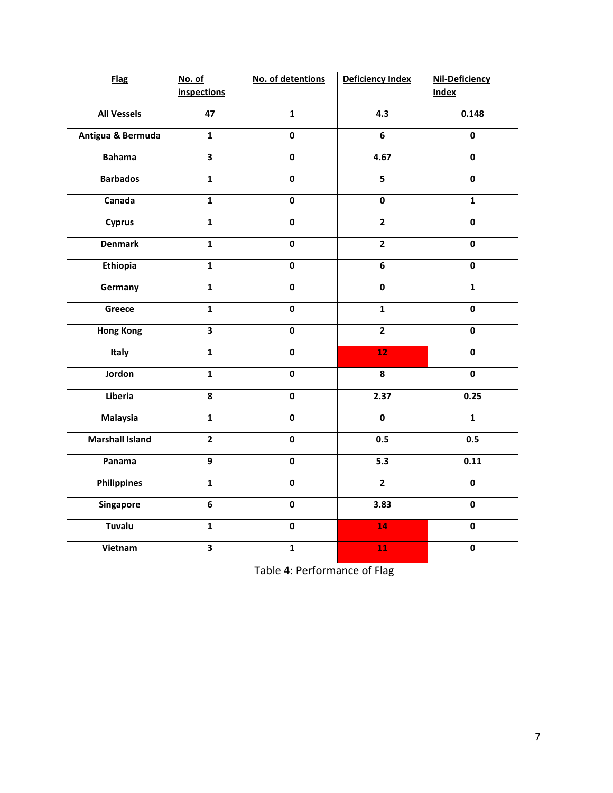| <b>Flag</b>            | No. of                  | No. of detentions | Deficiency Index        | Nil-Deficiency |
|------------------------|-------------------------|-------------------|-------------------------|----------------|
|                        | <i>inspections</i>      |                   |                         | <b>Index</b>   |
| <b>All Vessels</b>     | 47                      | $\mathbf{1}$      | 4.3                     | 0.148          |
| Antigua & Bermuda      | $\mathbf{1}$            | $\mathbf 0$       | 6                       | $\mathbf 0$    |
| <b>Bahama</b>          | $\overline{\mathbf{3}}$ | $\mathbf 0$       | 4.67                    | $\mathbf 0$    |
| <b>Barbados</b>        | $\mathbf{1}$            | $\mathbf 0$       | $\overline{\mathbf{5}}$ | $\mathbf 0$    |
| Canada                 | $\mathbf{1}$            | $\mathbf 0$       | $\pmb{0}$               | $\mathbf{1}$   |
| <b>Cyprus</b>          | $\mathbf{1}$            | $\pmb{0}$         | $\mathbf{2}$            | $\pmb{0}$      |
| <b>Denmark</b>         | $\mathbf{1}$            | $\mathbf 0$       | $\overline{2}$          | $\mathbf 0$    |
| Ethiopia               | $\mathbf{1}$            | $\mathbf 0$       | 6                       | $\mathbf 0$    |
| Germany                | $\mathbf{1}$            | $\mathbf 0$       | $\mathbf 0$             | $\mathbf{1}$   |
| Greece                 | $\mathbf{1}$            | $\pmb{0}$         | $\mathbf{1}$            | $\pmb{0}$      |
| <b>Hong Kong</b>       | 3                       | $\pmb{0}$         | $\overline{2}$          | $\mathbf 0$    |
| Italy                  | $\mathbf{1}$            | $\mathbf 0$       | 12                      | $\mathbf 0$    |
| Jordon                 | $\mathbf{1}$            | $\mathbf 0$       | 8                       | $\pmb{0}$      |
| Liberia                | 8                       | $\pmb{0}$         | 2.37                    | 0.25           |
| <b>Malaysia</b>        | $\mathbf{1}$            | $\mathbf 0$       | $\pmb{0}$               | $\mathbf{1}$   |
| <b>Marshall Island</b> | $\overline{2}$          | $\mathbf 0$       | 0.5                     | 0.5            |
| Panama                 | 9                       | $\mathbf 0$       | 5.3                     | 0.11           |
| <b>Philippines</b>     | $\mathbf{1}$            | $\pmb{0}$         | $\overline{2}$          | $\mathbf 0$    |
| Singapore              | 6                       | $\pmb{0}$         | 3.83                    | $\pmb{0}$      |
| <b>Tuvalu</b>          | $\mathbf{1}$            | $\pmb{0}$         | 14                      | $\pmb{0}$      |
| Vietnam                | $\overline{\mathbf{3}}$ | $\mathbf{1}$      | 11                      | $\mathbf 0$    |

Table 4: Performance of Flag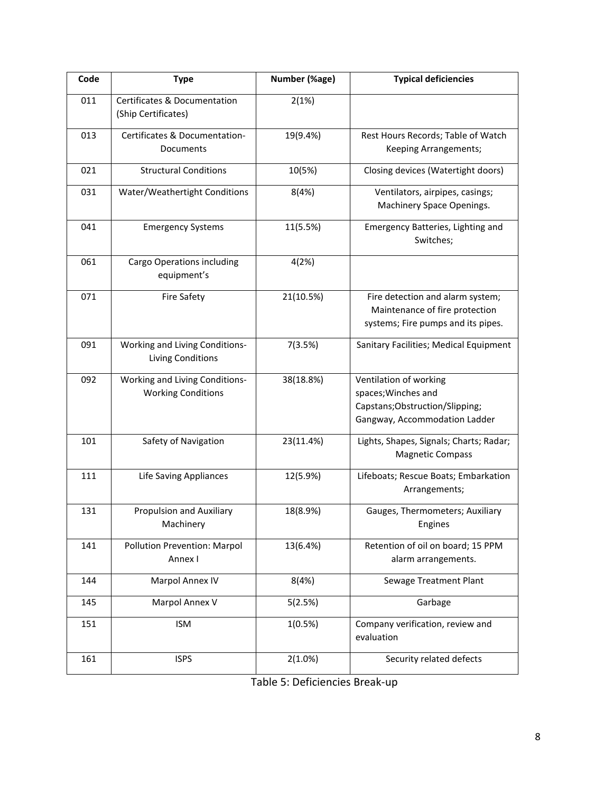| Code | <b>Type</b>                                                    | Number (%age) | <b>Typical deficiencies</b>                                                                                       |
|------|----------------------------------------------------------------|---------------|-------------------------------------------------------------------------------------------------------------------|
| 011  | <b>Certificates &amp; Documentation</b><br>(Ship Certificates) | 2(1%)         |                                                                                                                   |
| 013  | Certificates & Documentation-<br>Documents                     | 19(9.4%)      | Rest Hours Records; Table of Watch<br>Keeping Arrangements;                                                       |
| 021  | <b>Structural Conditions</b>                                   | 10(5%)        | Closing devices (Watertight doors)                                                                                |
| 031  | Water/Weathertight Conditions                                  | 8(4%)         | Ventilators, airpipes, casings;<br>Machinery Space Openings.                                                      |
| 041  | <b>Emergency Systems</b>                                       | 11(5.5%)      | Emergency Batteries, Lighting and<br>Switches;                                                                    |
| 061  | Cargo Operations including<br>equipment's                      | 4(2%)         |                                                                                                                   |
| 071  | <b>Fire Safety</b>                                             | 21(10.5%)     | Fire detection and alarm system;<br>Maintenance of fire protection<br>systems; Fire pumps and its pipes.          |
| 091  | Working and Living Conditions-<br>Living Conditions            | 7(3.5%)       | Sanitary Facilities; Medical Equipment                                                                            |
| 092  | Working and Living Conditions-<br><b>Working Conditions</b>    | 38(18.8%)     | Ventilation of working<br>spaces; Winches and<br>Capstans; Obstruction/Slipping;<br>Gangway, Accommodation Ladder |
| 101  | Safety of Navigation                                           | 23(11.4%)     | Lights, Shapes, Signals; Charts; Radar;<br><b>Magnetic Compass</b>                                                |
| 111  | <b>Life Saving Appliances</b>                                  | 12(5.9%)      | Lifeboats; Rescue Boats; Embarkation<br>Arrangements;                                                             |
| 131  | Propulsion and Auxiliary<br>Machinery                          | 18(8.9%)      | Gauges, Thermometers; Auxiliary<br>Engines                                                                        |
| 141  | <b>Pollution Prevention: Marpol</b><br>Annex I                 | 13(6.4%)      | Retention of oil on board; 15 PPM<br>alarm arrangements.                                                          |
| 144  | Marpol Annex IV                                                | 8(4%)         | Sewage Treatment Plant                                                                                            |
| 145  | Marpol Annex V                                                 | 5(2.5%)       | Garbage                                                                                                           |
| 151  | <b>ISM</b>                                                     | 1(0.5%)       | Company verification, review and<br>evaluation                                                                    |
| 161  | <b>ISPS</b>                                                    | 2(1.0%)       | Security related defects                                                                                          |

| Table 5: Deficiencies Break-up |  |
|--------------------------------|--|
|--------------------------------|--|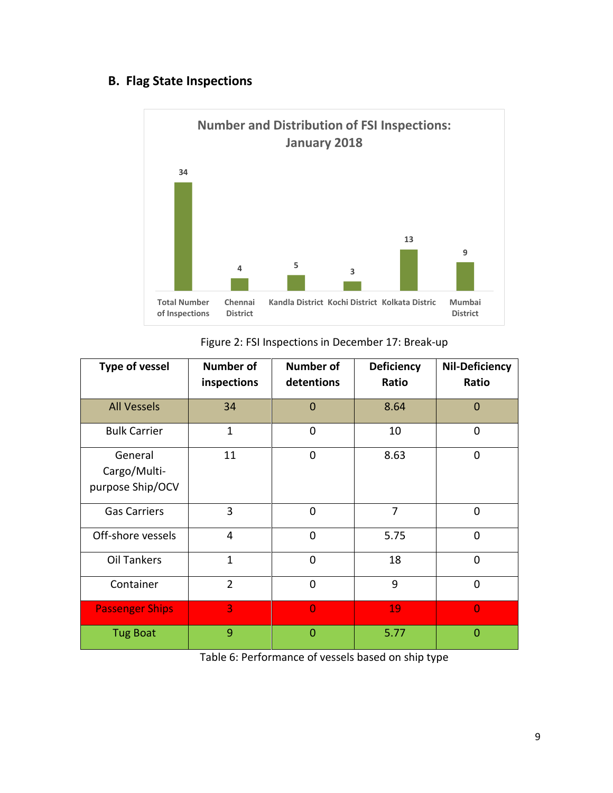## **B. Flag State Inspections**



Figure 2: FSI Inspections in December 17: Break-up

| <b>Type of vessel</b>                       | <b>Number of</b><br>inspections | <b>Number of</b><br>detentions | <b>Deficiency</b><br>Ratio | <b>Nil-Deficiency</b><br>Ratio |
|---------------------------------------------|---------------------------------|--------------------------------|----------------------------|--------------------------------|
| <b>All Vessels</b>                          | 34                              | $\Omega$                       | 8.64                       | $\mathbf 0$                    |
| <b>Bulk Carrier</b>                         | $\mathbf{1}$                    | $\overline{0}$<br>10           |                            | 0                              |
| General<br>Cargo/Multi-<br>purpose Ship/OCV | 11                              | $\overline{0}$                 | 8.63                       | $\mathbf 0$                    |
| <b>Gas Carriers</b>                         | 3                               | $\overline{0}$                 | $\overline{7}$             | $\mathbf 0$                    |
| Off-shore vessels                           | $\overline{4}$                  | 0                              | 5.75                       | $\mathbf 0$                    |
| <b>Oil Tankers</b>                          | $\mathbf{1}$                    | $\overline{0}$                 | 18                         | $\overline{0}$                 |
| Container                                   | $\overline{2}$                  | $\overline{0}$                 | 9                          | $\overline{0}$                 |
| <b>Passenger Ships</b>                      | 3                               | $\overline{0}$                 | 19                         | $\overline{0}$                 |
| <b>Tug Boat</b>                             | 9                               | $\Omega$                       | 5.77                       | $\overline{0}$                 |

Table 6: Performance of vessels based on ship type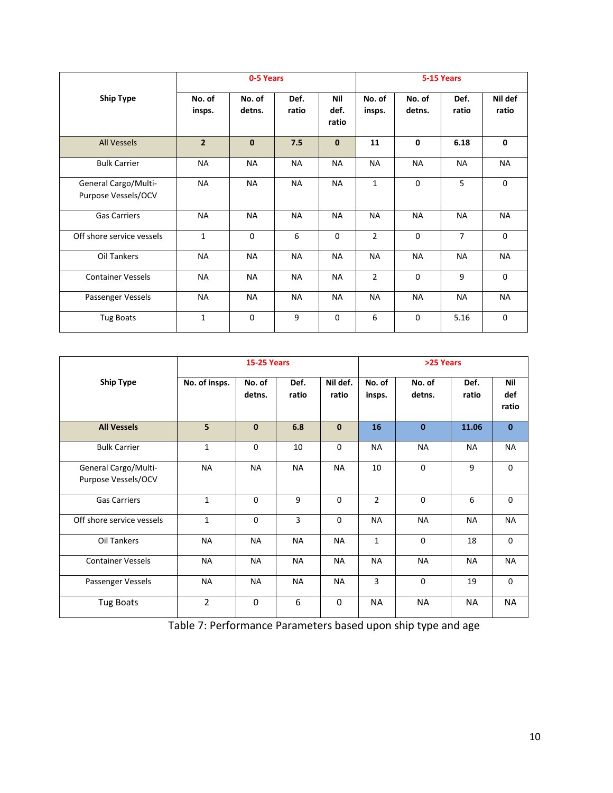|                                             |                  | 0-5 Years        |               |                             |                  |                  | 5-15 Years    |                  |
|---------------------------------------------|------------------|------------------|---------------|-----------------------------|------------------|------------------|---------------|------------------|
| <b>Ship Type</b>                            | No. of<br>insps. | No. of<br>detns. | Def.<br>ratio | <b>Nil</b><br>def.<br>ratio | No. of<br>insps. | No. of<br>detns. | Def.<br>ratio | Nil def<br>ratio |
| <b>All Vessels</b>                          | $\overline{2}$   | $\mathbf{0}$     | 7.5           | $\mathbf{0}$                | 11               | 0                | 6.18          | $\mathbf{0}$     |
| <b>Bulk Carrier</b>                         | <b>NA</b>        | <b>NA</b>        | <b>NA</b>     | <b>NA</b>                   | NA               | <b>NA</b>        | <b>NA</b>     | <b>NA</b>        |
| General Cargo/Multi-<br>Purpose Vessels/OCV | <b>NA</b>        | <b>NA</b>        | NA            | <b>NA</b>                   | 1                | 0                | 5             | $\Omega$         |
| <b>Gas Carriers</b>                         | <b>NA</b>        | <b>NA</b>        | <b>NA</b>     | <b>NA</b>                   | NA               | <b>NA</b>        | <b>NA</b>     | <b>NA</b>        |
| Off shore service vessels                   | $\mathbf{1}$     | $\mathbf 0$      | 6             | $\mathbf 0$                 | $\overline{2}$   | 0                | 7             | $\mathbf 0$      |
| Oil Tankers                                 | <b>NA</b>        | <b>NA</b>        | <b>NA</b>     | <b>NA</b>                   | NA               | <b>NA</b>        | <b>NA</b>     | <b>NA</b>        |
| <b>Container Vessels</b>                    | <b>NA</b>        | NA               | <b>NA</b>     | <b>NA</b>                   | $\overline{2}$   | $\mathbf 0$      | 9             | $\mathbf 0$      |
| Passenger Vessels                           | <b>NA</b>        | <b>NA</b>        | <b>NA</b>     | <b>NA</b>                   | <b>NA</b>        | <b>NA</b>        | <b>NA</b>     | <b>NA</b>        |
| <b>Tug Boats</b>                            | $\mathbf{1}$     | $\Omega$         | 9             | $\mathbf 0$                 | 6                | $\mathbf 0$      | 5.16          | $\Omega$         |

|                                             | <b>15-25 Years</b> |                  |               |                   | >25 Years        |                  |               |                     |
|---------------------------------------------|--------------------|------------------|---------------|-------------------|------------------|------------------|---------------|---------------------|
| <b>Ship Type</b>                            | No. of insps.      | No. of<br>detns. | Def.<br>ratio | Nil def.<br>ratio | No. of<br>insps. | No. of<br>detns. | Def.<br>ratio | Nil<br>def<br>ratio |
| <b>All Vessels</b>                          | 5                  | $\mathbf{0}$     | 6.8           | $\mathbf{0}$      | 16               | $\mathbf{0}$     | 11.06         | $\mathbf{0}$        |
| <b>Bulk Carrier</b>                         | $\mathbf{1}$       | $\mathbf 0$      | 10            | $\Omega$          | <b>NA</b>        | <b>NA</b>        | <b>NA</b>     | <b>NA</b>           |
| General Cargo/Multi-<br>Purpose Vessels/OCV | <b>NA</b>          | <b>NA</b>        | <b>NA</b>     | <b>NA</b>         | 10               | $\mathbf 0$      | 9             | $\mathbf 0$         |
| <b>Gas Carriers</b>                         | $\mathbf{1}$       | $\Omega$         | 9             | $\Omega$          | $\overline{2}$   | $\mathbf 0$      | 6             | $\mathbf 0$         |
| Off shore service vessels                   | $\mathbf{1}$       | $\Omega$         | 3             | $\Omega$          | <b>NA</b>        | <b>NA</b>        | <b>NA</b>     | NA                  |
| Oil Tankers                                 | <b>NA</b>          | <b>NA</b>        | <b>NA</b>     | <b>NA</b>         | $\mathbf{1}$     | $\mathbf 0$      | 18            | $\mathbf 0$         |
| <b>Container Vessels</b>                    | <b>NA</b>          | <b>NA</b>        | <b>NA</b>     | <b>NA</b>         | <b>NA</b>        | <b>NA</b>        | <b>NA</b>     | <b>NA</b>           |
| Passenger Vessels                           | <b>NA</b>          | <b>NA</b>        | <b>NA</b>     | <b>NA</b>         | 3                | $\mathbf{0}$     | 19            | $\Omega$            |
| <b>Tug Boats</b>                            | $\overline{2}$     | $\Omega$         | 6             | $\Omega$          | <b>NA</b>        | <b>NA</b>        | <b>NA</b>     | <b>NA</b>           |

Table 7: Performance Parameters based upon ship type and age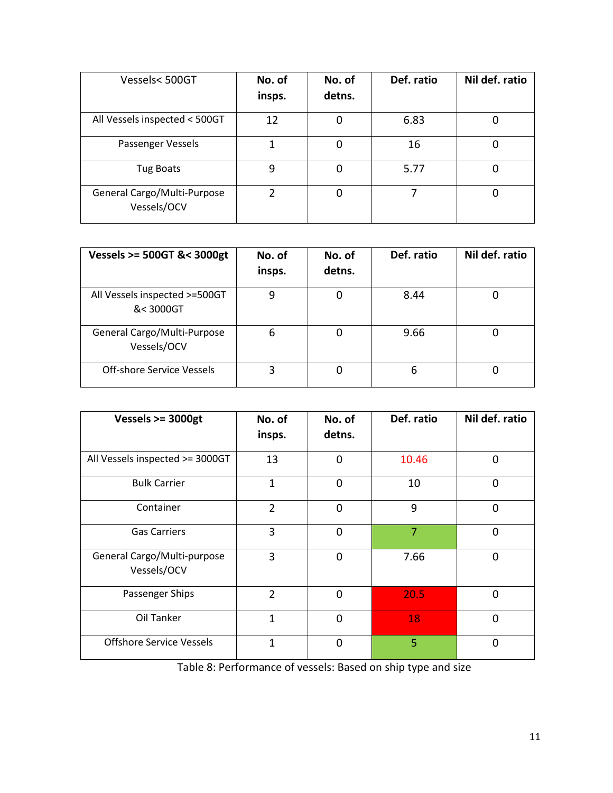| Vessels<500GT                              | No. of<br>insps. | No. of<br>detns. | Def. ratio | Nil def. ratio |
|--------------------------------------------|------------------|------------------|------------|----------------|
| All Vessels inspected < 500GT              | 12               | 0                | 6.83       |                |
| Passenger Vessels                          |                  | 0                | 16         |                |
| <b>Tug Boats</b>                           | 9                | 0                | 5.77       |                |
| General Cargo/Multi-Purpose<br>Vessels/OCV | າ                | 0                |            |                |

| Vessels >= 500GT &< 3000gt                 | No. of<br>insps. | No. of<br>detns. | Def. ratio | Nil def. ratio |
|--------------------------------------------|------------------|------------------|------------|----------------|
| All Vessels inspected >=500GT<br>&< 3000GT | 9                | 0                | 8.44       |                |
| General Cargo/Multi-Purpose<br>Vessels/OCV | 6                | 0                | 9.66       |                |
| Off-shore Service Vessels                  | 3                | 0                | 6          | 0              |

| Vessels $>=$ 3000gt                        | No. of<br>insps. | No. of<br>detns. | Def. ratio     | Nil def. ratio |
|--------------------------------------------|------------------|------------------|----------------|----------------|
| All Vessels inspected >= 3000GT            | 13               | 0                | 10.46          | $\overline{0}$ |
| <b>Bulk Carrier</b>                        | $\mathbf{1}$     | 0                | 10             | 0              |
| Container                                  | $\overline{2}$   | 0                | 9              | $\overline{0}$ |
| <b>Gas Carriers</b>                        | 3                | $\overline{0}$   | $\overline{7}$ | $\overline{0}$ |
| General Cargo/Multi-purpose<br>Vessels/OCV | 3                | 0                | 7.66           | $\Omega$       |
| Passenger Ships                            | $\overline{2}$   | $\Omega$         | 20.5           | $\Omega$       |
| Oil Tanker                                 | 1                | 0                | 18             | $\overline{0}$ |
| <b>Offshore Service Vessels</b>            | 1                | 0                | $\overline{5}$ | $\Omega$       |

Table 8: Performance of vessels: Based on ship type and size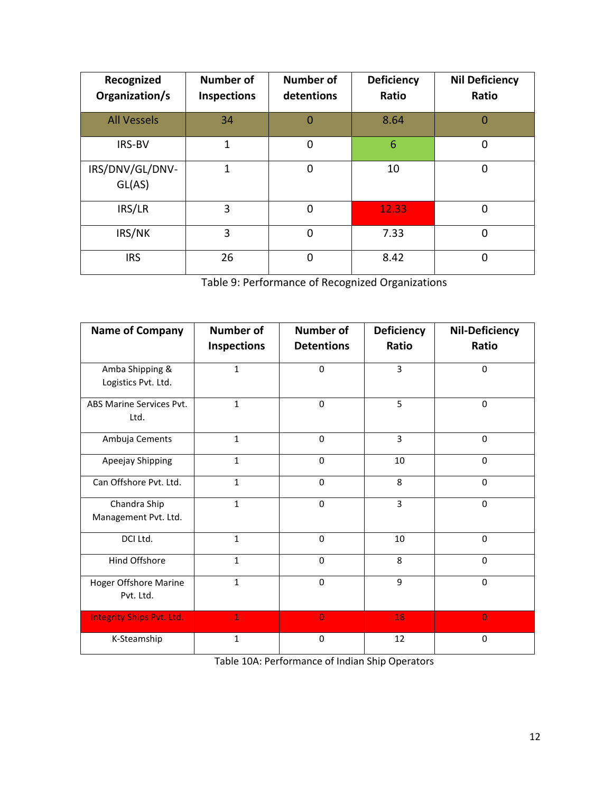| Recognized<br>Organization/s | <b>Number of</b><br>Inspections | <b>Number of</b><br>detentions | <b>Deficiency</b><br>Ratio | <b>Nil Deficiency</b><br>Ratio |
|------------------------------|---------------------------------|--------------------------------|----------------------------|--------------------------------|
| <b>All Vessels</b>           | 34                              | $\Omega$                       | 8.64                       | 0                              |
| <b>IRS-BV</b>                | 1                               | 0                              | 6                          | 0                              |
| IRS/DNV/GL/DNV-<br>GL(AS)    | 1                               | $\Omega$                       | 10                         | 0                              |
| IRS/LR                       | 3                               | 0                              | 12.33                      | 0                              |
| IRS/NK                       | 3                               | $\overline{0}$                 | 7.33                       | 0                              |
| <b>IRS</b>                   | 26                              | $\mathbf 0$                    | 8.42                       | 0                              |

Table 9: Performance of Recognized Organizations

| <b>Name of Company</b>                    | <b>Number of</b>   | <b>Number of</b>  | Deficiency     | <b>Nil-Deficiency</b> |
|-------------------------------------------|--------------------|-------------------|----------------|-----------------------|
|                                           | <b>Inspections</b> | <b>Detentions</b> | Ratio          | Ratio                 |
| Amba Shipping &<br>Logistics Pvt. Ltd.    | $\mathbf{1}$       | $\Omega$          | $\overline{3}$ | $\Omega$              |
| ABS Marine Services Pvt.<br>Ltd.          | $\mathbf{1}$       | $\Omega$          | 5              | $\Omega$              |
| Ambuja Cements                            | $\mathbf{1}$       | $\Omega$          | 3              | $\Omega$              |
| Apeejay Shipping                          | $\mathbf{1}$       | $\Omega$          | 10             | $\Omega$              |
| Can Offshore Pvt. Ltd.                    | $\mathbf{1}$       | $\Omega$          | 8              | $\Omega$              |
| Chandra Ship<br>Management Pvt. Ltd.      | $\mathbf{1}$       | $\Omega$          | 3              | $\Omega$              |
| DCI Ltd.                                  | $\mathbf{1}$       | $\Omega$          | 10             | $\Omega$              |
| Hind Offshore                             | $\mathbf{1}$       | $\mathbf 0$       | 8              | $\mathbf 0$           |
| <b>Hoger Offshore Marine</b><br>Pvt. Ltd. | $\mathbf{1}$       | $\Omega$          | 9              | $\Omega$              |
| <b>Integrity Ships Pvt. Ltd.</b>          | $\mathbf{1}$       | $\overline{0}$    | 18             | $\overline{0}$        |
| K-Steamship                               | 1                  | $\mathbf 0$       | 12             | $\mathbf 0$           |

Table 10A: Performance of Indian Ship Operators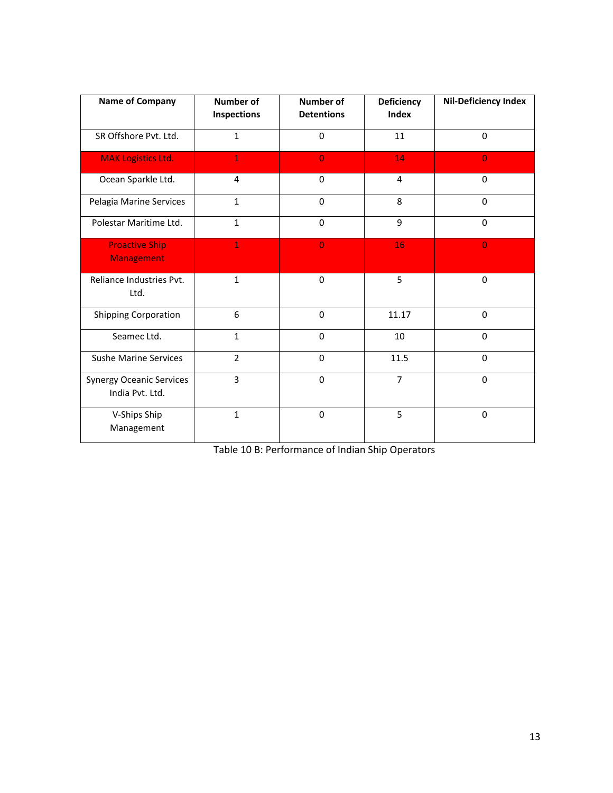| <b>Name of Company</b>                             | <b>Number of</b><br>Inspections | Number of<br><b>Detentions</b> | <b>Deficiency</b><br>Index | <b>Nil-Deficiency Index</b> |
|----------------------------------------------------|---------------------------------|--------------------------------|----------------------------|-----------------------------|
| SR Offshore Pvt. Ltd.                              | $\mathbf{1}$                    | $\mathbf 0$                    | 11                         | $\Omega$                    |
| <b>MAK Logistics Ltd.</b>                          | $\mathbf{1}$                    | $\overline{0}$                 | 14                         | $\overline{0}$              |
| Ocean Sparkle Ltd.                                 | 4                               | $\mathbf 0$                    | $\overline{4}$             | $\mathbf 0$                 |
| Pelagia Marine Services                            | $\mathbf{1}$                    | $\Omega$                       | 8                          | $\Omega$                    |
| Polestar Maritime Ltd.                             | $\mathbf{1}$                    | $\mathbf 0$                    | 9                          | $\Omega$                    |
| <b>Proactive Ship</b><br><b>Management</b>         | $\mathbf{1}$                    | $\overline{0}$                 | 16                         | $\overline{0}$              |
| Reliance Industries Pvt.<br>Ltd.                   | $\mathbf{1}$                    | $\Omega$                       | 5                          | $\mathbf 0$                 |
| <b>Shipping Corporation</b>                        | 6                               | $\mathbf 0$                    | 11.17                      | $\mathbf 0$                 |
| Seamec Ltd.                                        | $\mathbf{1}$                    | $\mathbf 0$                    | 10                         | $\Omega$                    |
| <b>Sushe Marine Services</b>                       | $\overline{2}$                  | $\mathbf 0$                    | 11.5                       | $\mathbf 0$                 |
| <b>Synergy Oceanic Services</b><br>India Pvt. Ltd. | 3                               | $\mathbf 0$                    | $\overline{7}$             | $\mathbf 0$                 |
| V-Ships Ship<br>Management                         | $\mathbf{1}$                    | $\Omega$                       | 5                          | $\Omega$                    |

Table 10 B: Performance of Indian Ship Operators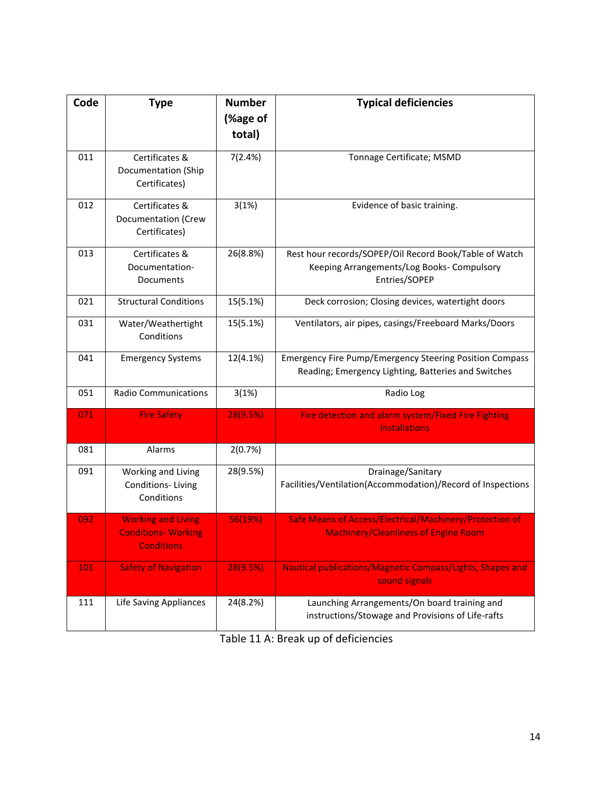| Code | <b>Type</b>                                                                  | <b>Number</b>      | <b>Typical deficiencies</b>                                                                                           |
|------|------------------------------------------------------------------------------|--------------------|-----------------------------------------------------------------------------------------------------------------------|
|      |                                                                              | (%age of<br>total) |                                                                                                                       |
|      |                                                                              |                    |                                                                                                                       |
| 011  | Certificates &<br>Documentation (Ship<br>Certificates)                       | 7(2.4%)            | Tonnage Certificate; MSMD                                                                                             |
| 012  | Certificates &<br>Documentation (Crew<br>Certificates)                       | 3(1%)              | Evidence of basic training.                                                                                           |
| 013  | Certificates &<br>Documentation-<br>Documents                                | 26(8.8%)           | Rest hour records/SOPEP/Oil Record Book/Table of Watch<br>Keeping Arrangements/Log Books- Compulsory<br>Entries/SOPEP |
| 021  | <b>Structural Conditions</b>                                                 | 15(5.1%)           | Deck corrosion; Closing devices, watertight doors                                                                     |
| 031  | Water/Weathertight<br>Conditions                                             | 15(5.1%)           | Ventilators, air pipes, casings/Freeboard Marks/Doors                                                                 |
| 041  | <b>Emergency Systems</b>                                                     | 12(4.1%)           | <b>Emergency Fire Pump/Emergency Steering Position Compass</b><br>Reading; Emergency Lighting, Batteries and Switches |
| 051  | <b>Radio Communications</b>                                                  | 3(1%)              | Radio Log                                                                                                             |
| 071  | <b>Fire Safety</b>                                                           | 28(9.5%)           | Fire detection and alarm system/Fixed Fire Fighting<br><b>Installations</b>                                           |
| 081  | Alarms                                                                       | 2(0.7%)            |                                                                                                                       |
| 091  | Working and Living<br>Conditions-Living<br>Conditions                        | 28(9.5%)           | Drainage/Sanitary<br>Facilities/Ventilation(Accommodation)/Record of Inspections                                      |
| 092  | <b>Working and Living</b><br><b>Conditions- Working</b><br><b>Conditions</b> | 56(19%)            | Safe Means of Access/Electrical/Machinery/Protection of<br><b>Machinery/Cleanliness of Engine Room</b>                |
| 101  | <b>Safety of Navigation</b>                                                  | 28(9.5%)           | Nautical publications/Magnetic Compass/Lights, Shapes and<br>sound signals                                            |
| 111  | Life Saving Appliances                                                       | 24(8.2%)           | Launching Arrangements/On board training and<br>instructions/Stowage and Provisions of Life-rafts                     |

Table 11 A: Break up of deficiencies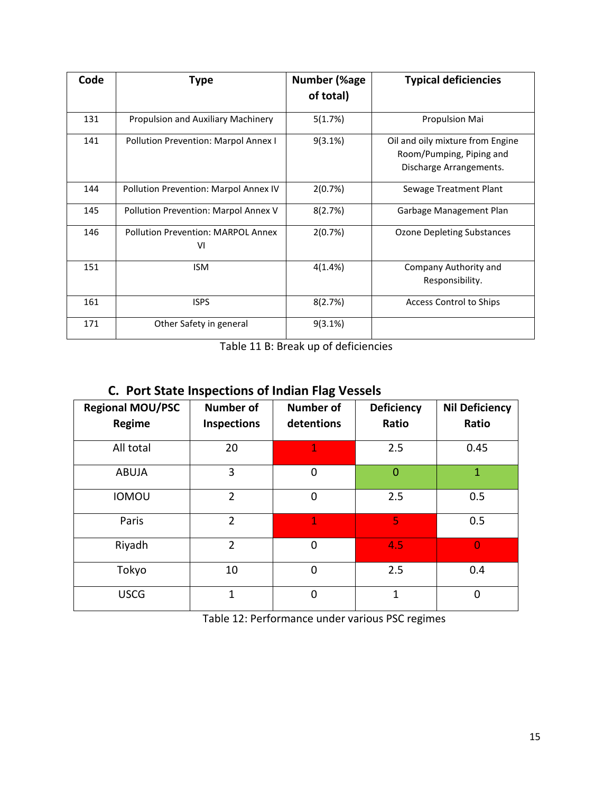| Code | Type                                            | Number (%age<br>of total) | <b>Typical deficiencies</b>                                                             |
|------|-------------------------------------------------|---------------------------|-----------------------------------------------------------------------------------------|
| 131  | Propulsion and Auxiliary Machinery              | 5(1.7%)                   | Propulsion Mai                                                                          |
| 141  | Pollution Prevention: Marpol Annex I            | $9(3.1\%)$                | Oil and oily mixture from Engine<br>Room/Pumping, Piping and<br>Discharge Arrangements. |
| 144  | Pollution Prevention: Marpol Annex IV           | 2(0.7%)                   | Sewage Treatment Plant                                                                  |
| 145  | Pollution Prevention: Marpol Annex V            | 8(2.7%)                   | Garbage Management Plan                                                                 |
| 146  | <b>Pollution Prevention: MARPOL Annex</b><br>VI | 2(0.7%)                   | <b>Ozone Depleting Substances</b>                                                       |
| 151  | <b>ISM</b>                                      | 4(1.4%)                   | Company Authority and<br>Responsibility.                                                |
| 161  | <b>ISPS</b>                                     | 8(2.7%)                   | <b>Access Control to Ships</b>                                                          |
| 171  | Other Safety in general                         | $9(3.1\%)$                |                                                                                         |

Table 11 B: Break up of deficiencies

# **C. Port State Inspections of Indian Flag Vessels**

| <b>Regional MOU/PSC</b><br>Regime | <b>Number of</b><br><b>Inspections</b> | <b>Number of</b><br>detentions | <b>Deficiency</b><br>Ratio | <b>Nil Deficiency</b><br>Ratio |
|-----------------------------------|----------------------------------------|--------------------------------|----------------------------|--------------------------------|
| All total                         | 20                                     | $\overline{1}$                 | 2.5                        | 0.45                           |
| <b>ABUJA</b>                      | 3                                      | $\mathbf 0$                    | $\overline{0}$             | $\mathbf{1}$                   |
| <b>IOMOU</b>                      | $\overline{2}$                         | $\mathbf 0$                    | 2.5                        | 0.5                            |
| Paris                             | $\overline{2}$                         | $\overline{1}$                 | 5                          | 0.5                            |
| Riyadh                            | $\overline{2}$                         | 0                              | 4.5                        | $\overline{0}$                 |
| Tokyo                             | 10                                     | $\overline{0}$                 | 2.5                        | 0.4                            |
| <b>USCG</b>                       | $\mathbf{1}$                           | $\mathbf 0$                    | $\mathbf 1$                | $\mathbf 0$                    |

Table 12: Performance under various PSC regimes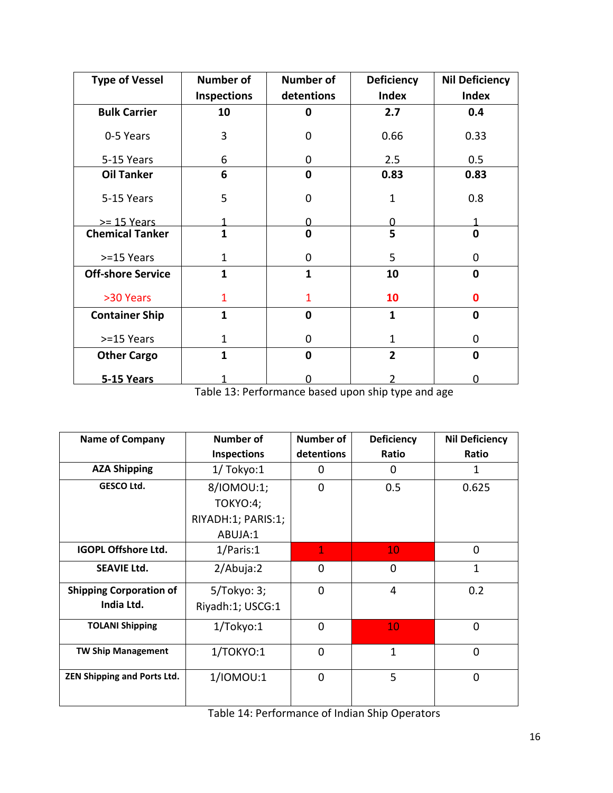| <b>Type of Vessel</b>    | <b>Number of</b>        | <b>Number of</b> | <b>Deficiency</b> | <b>Nil Deficiency</b> |
|--------------------------|-------------------------|------------------|-------------------|-----------------------|
|                          | <b>Inspections</b>      | detentions       | <b>Index</b>      | <b>Index</b>          |
| <b>Bulk Carrier</b>      | 10                      | 0                | 2.7               | 0.4                   |
| 0-5 Years                | 3                       | 0                | 0.66              | 0.33                  |
| 5-15 Years               | 6                       | 0                | 2.5               | 0.5                   |
| <b>Oil Tanker</b>        | 6                       | $\mathbf 0$      | 0.83              | 0.83                  |
| 5-15 Years               | 5                       | 0                | $\mathbf{1}$      | 0.8                   |
| $>= 15$ Years            |                         |                  |                   |                       |
| <b>Chemical Tanker</b>   | $\overline{\mathbf{1}}$ | $\mathbf 0$      | 5                 | $\mathbf 0$           |
| >=15 Years               | $\mathbf{1}$            | 0                | 5                 | $\mathbf 0$           |
| <b>Off-shore Service</b> | $\mathbf{1}$            | $\mathbf{1}$     | 10                | $\mathbf 0$           |
| >30 Years                | $\mathbf{1}$            | $\mathbf{1}$     | 10                | 0                     |
| <b>Container Ship</b>    | $\mathbf{1}$            | $\mathbf{0}$     | $\mathbf{1}$      | $\mathbf 0$           |
| >=15 Years               | $\mathbf{1}$            | 0                | $\mathbf{1}$      | $\mathbf 0$           |
| <b>Other Cargo</b>       | 1                       | 0                | $\overline{2}$    | $\mathbf 0$           |
| <b>5-15 Years</b>        |                         |                  |                   | U                     |

Table 13: Performance based upon ship type and age

| <b>Name of Company</b>             | Number of          | Number of      | <b>Deficiency</b> | <b>Nil Deficiency</b> |
|------------------------------------|--------------------|----------------|-------------------|-----------------------|
|                                    | <b>Inspections</b> | detentions     | Ratio             | Ratio                 |
| <b>AZA Shipping</b>                | $1/$ Tokyo: $1$    | 0              | 0                 | 1                     |
| <b>GESCO Ltd.</b>                  | 8/IOMOU:1;         | $\overline{0}$ | 0.5               | 0.625                 |
|                                    | TOKYO:4;           |                |                   |                       |
|                                    | RIYADH:1; PARIS:1; |                |                   |                       |
|                                    | ABUJA:1            |                |                   |                       |
| <b>IGOPL Offshore Ltd.</b>         | 1/Paris:1          | $\mathbf{1}$   | 10                | 0                     |
| <b>SEAVIE Ltd.</b>                 | 2/Abuja:2          | 0              | 0                 | $\mathbf{1}$          |
| <b>Shipping Corporation of</b>     | $5/T$ okyo: 3;     | 0              | 4                 | 0.2                   |
| India Ltd.                         | Riyadh:1; USCG:1   |                |                   |                       |
| <b>TOLANI Shipping</b>             | 1/Tokyo:1          | $\overline{0}$ | 10                | $\Omega$              |
| <b>TW Ship Management</b>          | 1/TOKYO:1          | 0              | $\mathbf{1}$      | 0                     |
| <b>ZEN Shipping and Ports Ltd.</b> | 1/IOMOU:1          | $\overline{0}$ | 5                 | $\Omega$              |

Table 14: Performance of Indian Ship Operators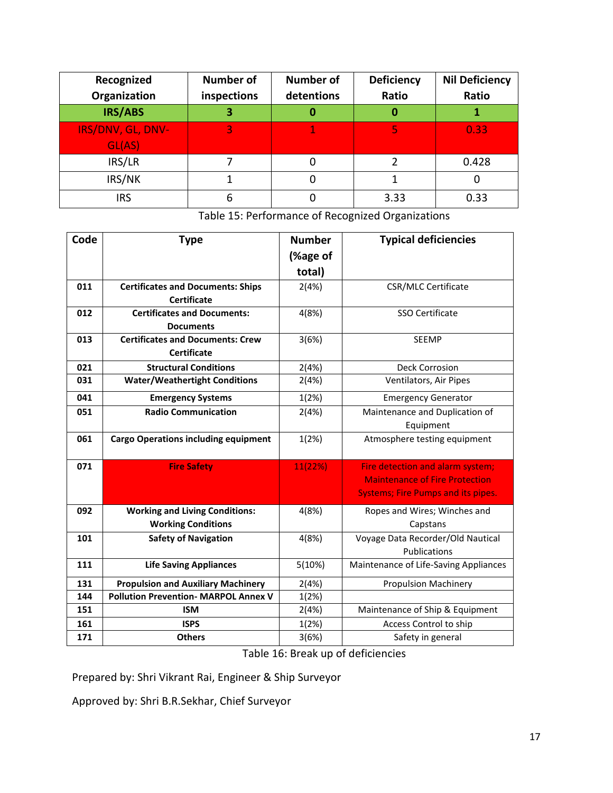| Recognized        | <b>Number of</b> | <b>Number of</b> | <b>Deficiency</b> | <b>Nil Deficiency</b> |
|-------------------|------------------|------------------|-------------------|-----------------------|
| Organization      | inspections      | detentions       | Ratio             | Ratio                 |
| IRS/ABS           | 3                |                  | O                 |                       |
| IRS/DNV, GL, DNV- | 3                |                  |                   | 0.33                  |
| GL(AS)            |                  |                  |                   |                       |
| IRS/LR            |                  |                  |                   | 0.428                 |
| IRS/NK            |                  |                  |                   | O                     |
| <b>IRS</b>        | 6                |                  | 3.33              | 0.33                  |

Table 15: Performance of Recognized Organizations

| Code | <b>Type</b>                                 | <b>Number</b> | <b>Typical deficiencies</b>               |
|------|---------------------------------------------|---------------|-------------------------------------------|
|      |                                             | (%age of      |                                           |
|      |                                             | total)        |                                           |
| 011  | <b>Certificates and Documents: Ships</b>    | 2(4%)         | <b>CSR/MLC Certificate</b>                |
|      | <b>Certificate</b>                          |               |                                           |
| 012  | <b>Certificates and Documents:</b>          | 4(8%)         | SSO Certificate                           |
|      | <b>Documents</b>                            |               |                                           |
| 013  | <b>Certificates and Documents: Crew</b>     | 3(6%)         | <b>SEEMP</b>                              |
|      | <b>Certificate</b>                          |               |                                           |
| 021  | <b>Structural Conditions</b>                | 2(4%)         | <b>Deck Corrosion</b>                     |
| 031  | <b>Water/Weathertight Conditions</b>        | 2(4%)         | Ventilators, Air Pipes                    |
| 041  | <b>Emergency Systems</b>                    | 1(2%)         | <b>Emergency Generator</b>                |
| 051  | <b>Radio Communication</b>                  | 2(4%)         | Maintenance and Duplication of            |
|      |                                             |               | Equipment                                 |
| 061  | <b>Cargo Operations including equipment</b> | 1(2%)         | Atmosphere testing equipment              |
|      |                                             |               |                                           |
| 071  | <b>Fire Safety</b>                          | 11(22%)       | Fire detection and alarm system;          |
|      |                                             |               | <b>Maintenance of Fire Protection</b>     |
|      |                                             |               | <b>Systems; Fire Pumps and its pipes.</b> |
| 092  | <b>Working and Living Conditions:</b>       | 4(8%)         | Ropes and Wires; Winches and              |
|      | <b>Working Conditions</b>                   |               | Capstans                                  |
| 101  | <b>Safety of Navigation</b>                 | 4(8%)         | Voyage Data Recorder/Old Nautical         |
|      |                                             |               | Publications                              |
| 111  | <b>Life Saving Appliances</b>               | 5(10%)        | Maintenance of Life-Saving Appliances     |
| 131  | <b>Propulsion and Auxiliary Machinery</b>   | 2(4%)         | <b>Propulsion Machinery</b>               |
| 144  | <b>Pollution Prevention- MARPOL Annex V</b> | 1(2%)         |                                           |
| 151  | <b>ISM</b>                                  | 2(4%)         | Maintenance of Ship & Equipment           |
| 161  | <b>ISPS</b>                                 | 1(2%)         | Access Control to ship                    |
| 171  | <b>Others</b>                               | 3(6%)         | Safety in general                         |

Table 16: Break up of deficiencies

Prepared by: Shri Vikrant Rai, Engineer & Ship Surveyor

Approved by: Shri B.R.Sekhar, Chief Surveyor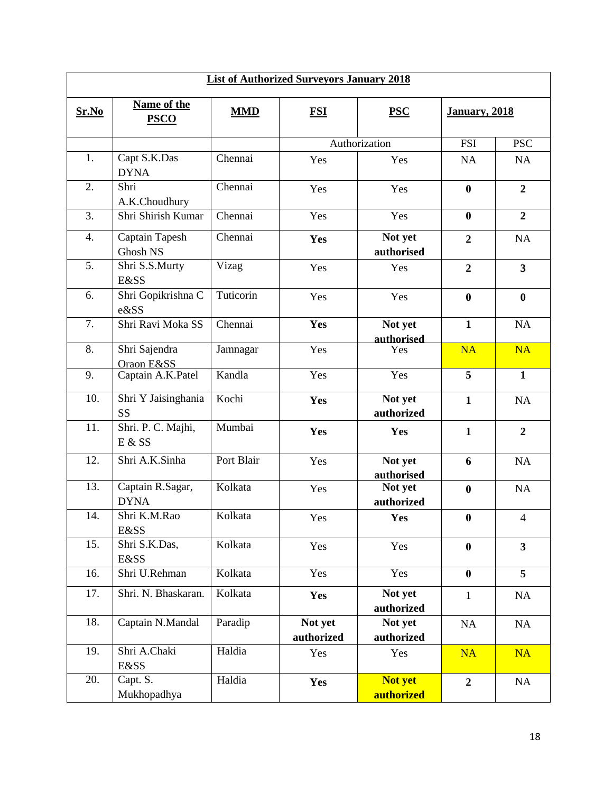| <b>List of Authorized Surveyors January 2018</b> |                                  |            |                       |                       |                       |                         |  |
|--------------------------------------------------|----------------------------------|------------|-----------------------|-----------------------|-----------------------|-------------------------|--|
| Sr.No                                            | Name of the<br><b>PSCO</b>       | <b>MMD</b> | <b>FSI</b>            | <b>PSC</b>            | <b>January</b> , 2018 |                         |  |
|                                                  |                                  |            |                       | Authorization         | <b>FSI</b>            | <b>PSC</b>              |  |
| 1.                                               | Capt S.K.Das<br><b>DYNA</b>      | Chennai    | Yes                   | Yes                   | <b>NA</b>             | NA                      |  |
| 2.                                               | Shri<br>A.K.Choudhury            | Chennai    | Yes                   | Yes                   | $\bf{0}$              | $\overline{2}$          |  |
| 3.                                               | Shri Shirish Kumar               | Chennai    | Yes                   | Yes                   | $\bf{0}$              | $\boldsymbol{2}$        |  |
| 4.                                               | Captain Tapesh<br>Ghosh NS       | Chennai    | Yes                   | Not yet<br>authorised | $\boldsymbol{2}$      | <b>NA</b>               |  |
| 5.                                               | Shri S.S.Murty<br>E&SS           | Vizag      | Yes                   | Yes                   | $\overline{2}$        | $\overline{\mathbf{3}}$ |  |
| 6.                                               | Shri Gopikrishna C<br>e&SS       | Tuticorin  | Yes                   | Yes                   | $\bf{0}$              | $\bf{0}$                |  |
| 7.                                               | Shri Ravi Moka SS                | Chennai    | Yes                   | Not yet<br>authorised | $\mathbf{1}$          | NA                      |  |
| 8.                                               | Shri Sajendra<br>Oraon E&SS      | Jamnagar   | Yes                   | Yes                   | <b>NA</b>             | <b>NA</b>               |  |
| 9.                                               | Captain A.K.Patel                | Kandla     | Yes                   | Yes                   | 5                     | $\mathbf{1}$            |  |
| 10.                                              | Shri Y Jaisinghania<br><b>SS</b> | Kochi      | Yes                   | Not yet<br>authorized | $\mathbf{1}$          | NA                      |  |
| 11.                                              | Shri. P. C. Majhi,<br>E & S S    | Mumbai     | Yes                   | Yes                   | $\mathbf{1}$          | $\boldsymbol{2}$        |  |
| 12.                                              | Shri A.K.Sinha                   | Port Blair | Yes                   | Not yet<br>authorised | 6                     | NA                      |  |
| 13.                                              | Captain R.Sagar,<br><b>DYNA</b>  | Kolkata    | Yes                   | Not yet<br>authorized | $\bf{0}$              | NA                      |  |
| 14.                                              | Shri K.M.Rao<br><b>E&amp;SS</b>  | Kolkata    | Yes                   | Yes                   | $\bf{0}$              | $\overline{4}$          |  |
| 15.                                              | Shri S.K.Das,<br>E&SS            | Kolkata    | Yes                   | Yes                   | $\bf{0}$              | $\mathbf{3}$            |  |
| 16.                                              | Shri U.Rehman                    | Kolkata    | Yes                   | Yes                   | $\mathbf{0}$          | $\overline{5}$          |  |
| 17.                                              | Shri. N. Bhaskaran.              | Kolkata    | Yes                   | Not yet<br>authorized | $\mathbf{1}$          | NA                      |  |
| 18.                                              | Captain N.Mandal                 | Paradip    | Not yet<br>authorized | Not yet<br>authorized | NA                    | NA                      |  |
| 19.                                              | Shri A.Chaki<br>E&SS             | Haldia     | Yes                   | Yes                   | <b>NA</b>             | <b>NA</b>               |  |
| 20.                                              | Capt. S.<br>Mukhopadhya          | Haldia     | Yes                   | Not yet<br>authorized | $\overline{2}$        | NA                      |  |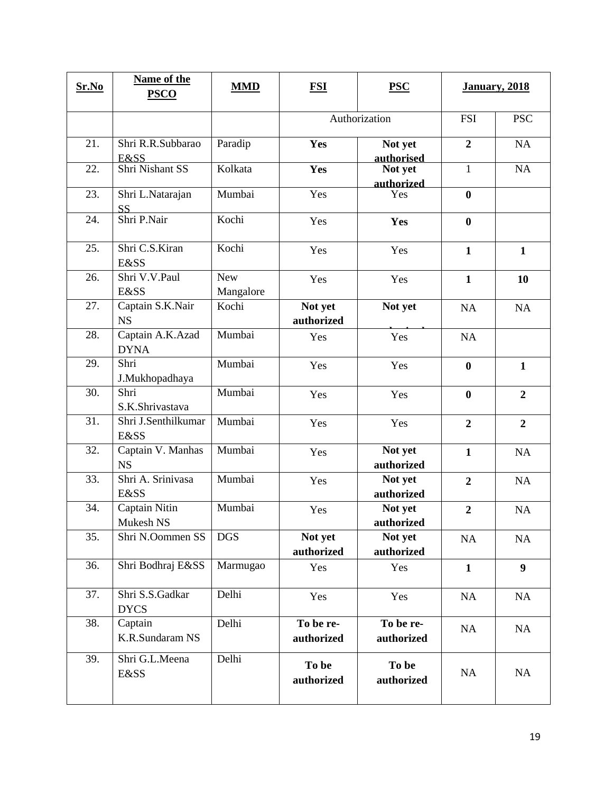| Sr.No | Name of the<br><b>PSCO</b>             | <b>MMD</b>              | <b>FSI</b>              | <b>PSC</b>              | <b>January</b> , 2018 |                |
|-------|----------------------------------------|-------------------------|-------------------------|-------------------------|-----------------------|----------------|
|       |                                        |                         | Authorization           |                         | <b>FSI</b>            | <b>PSC</b>     |
| 21.   | Shri R.R.Subbarao<br>E&SS              | Paradip                 | Yes                     | Not yet<br>authorised   | $\boldsymbol{2}$      | NA             |
| 22.   | Shri Nishant SS                        | Kolkata                 | Yes                     | Not yet<br>authorized   | $\mathbf{1}$          | NA             |
| 23.   | Shri L.Natarajan<br><b>SS</b>          | Mumbai                  | Yes                     | Yes                     | $\boldsymbol{0}$      |                |
| 24.   | Shri P.Nair                            | Kochi                   | Yes                     | Yes                     | $\bf{0}$              |                |
| 25.   | Shri C.S.Kiran<br><b>E&amp;SS</b>      | Kochi                   | Yes                     | Yes                     | $\mathbf{1}$          | $\mathbf{1}$   |
| 26.   | Shri V.V.Paul<br><b>E&amp;SS</b>       | <b>New</b><br>Mangalore | Yes                     | Yes                     | $\mathbf{1}$          | 10             |
| 27.   | Captain S.K.Nair<br><b>NS</b>          | Kochi                   | Not yet<br>authorized   | Not yet                 | NA                    | NA             |
| 28.   | Captain A.K.Azad<br><b>DYNA</b>        | Mumbai                  | Yes                     | Yes                     | NA                    |                |
| 29.   | Shri<br>J.Mukhopadhaya                 | Mumbai                  | Yes                     | Yes                     | $\bf{0}$              | $\mathbf{1}$   |
| 30.   | Shri<br>S.K.Shrivastava                | Mumbai                  | Yes                     | Yes                     | $\bf{0}$              | $\overline{2}$ |
| 31.   | Shri J.Senthilkumar<br><b>E&amp;SS</b> | Mumbai                  | Yes                     | Yes                     | $\overline{2}$        | $\overline{2}$ |
| 32.   | Captain V. Manhas<br><b>NS</b>         | Mumbai                  | Yes                     | Not yet<br>authorized   | $\mathbf{1}$          | NA             |
| 33.   | Shri A. Srinivasa<br><b>E&amp;SS</b>   | Mumbai                  | Yes                     | Not yet<br>authorized   | $\boldsymbol{2}$      | <b>NA</b>      |
| 34.   | Captain Nitin<br>Mukesh NS             | Mumbai                  | Yes                     | Not yet<br>authorized   | $\overline{2}$        | NA             |
| 35.   | Shri N.Oommen SS                       | <b>DGS</b>              | Not yet<br>authorized   | Not yet<br>authorized   | NA                    | NA             |
| 36.   | Shri Bodhraj E&SS                      | Marmugao                | Yes                     | Yes                     | $\mathbf{1}$          | 9              |
| 37.   | Shri S.S.Gadkar<br><b>DYCS</b>         | Delhi                   | Yes                     | Yes                     | NA                    | NA             |
| 38.   | Captain<br>K.R.Sundaram NS             | Delhi                   | To be re-<br>authorized | To be re-<br>authorized | NA                    | NA             |
| 39.   | Shri G.L.Meena<br>E&SS                 | Delhi                   | To be<br>authorized     | To be<br>authorized     | NA                    | NA             |